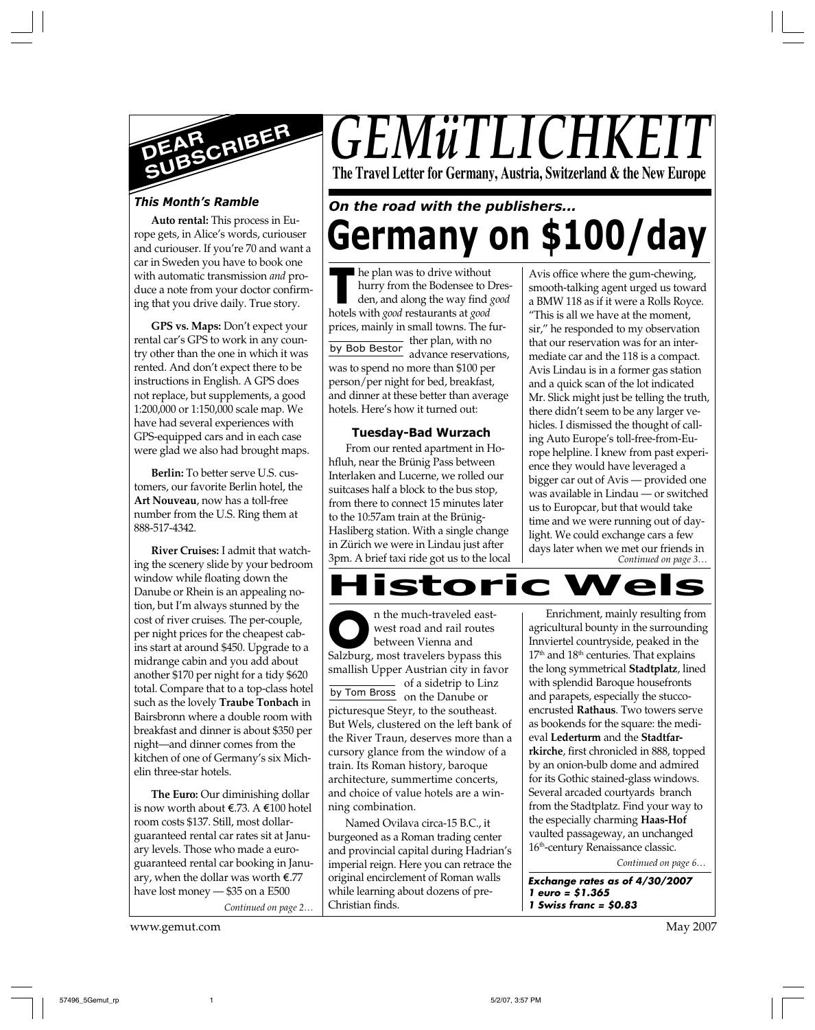

### *This Month's Ramble*

**Auto rental:** This process in Europe gets, in Alice's words, curiouser and curiouser. If you're 70 and want a car in Sweden you have to book one with automatic transmission *and* produce a note from your doctor confirming that you drive daily. True story.

**GPS vs. Maps:** Don't expect your rental car's GPS to work in any country other than the one in which it was rented. And don't expect there to be instructions in English. A GPS does not replace, but supplements, a good 1:200,000 or 1:150,000 scale map. We have had several experiences with GPS-equipped cars and in each case were glad we also had brought maps.

**Berlin:** To better serve U.S. customers, our favorite Berlin hotel, the **Art Nouveau**, now has a toll-free number from the U.S. Ring them at 888-517-4342.

**River Cruises:** I admit that watching the scenery slide by your bedroom window while floating down the Danube or Rhein is an appealing notion, but I'm always stunned by the cost of river cruises. The per-couple, per night prices for the cheapest cabins start at around \$450. Upgrade to a midrange cabin and you add about another \$170 per night for a tidy \$620 total. Compare that to a top-class hotel such as the lovely **Traube Tonbach** in Bairsbronn where a double room with breakfast and dinner is about \$350 per night—and dinner comes from the kitchen of one of Germany's six Michelin three-star hotels.

**The Euro:** Our diminishing dollar is now worth about  $\epsilon$ .73. A  $\epsilon$ 100 hotel room costs \$137. Still, most dollarguaranteed rental car rates sit at January levels. Those who made a euroguaranteed rental car booking in January, when the dollar was worth  $\epsilon$ .77 have lost money — \$35 on a E500

*Continued on page 2…*

www.gemut.com May 2007

# *GEMüTLICHK* **The Travel Letter for Germany, Austria, Switzerland & the New Europe**

# **Germany on \$100/day** *On the road with the publishers...*

**The plan was to drive without**<br>
hurry from the Bodensee to I<br>
den, and along the way find<br>
hotels with *good* restaurants at *good* <u>ther</u> plan, with no<br>by Bob Bestor advance reconvation he plan was to drive without hurry from the Bodensee to Dresden, and along the way find *good* prices, mainly in small towns. The furadvance reservations, was to spend no more than \$100 per person/per night for bed, breakfast, and dinner at these better than average hotels. Here's how it turned out:

#### **Tuesday-Bad Wurzach**

From our rented apartment in Hohfluh, near the Brünig Pass between Interlaken and Lucerne, we rolled our suitcases half a block to the bus stop, from there to connect 15 minutes later to the 10:57am train at the Brünig-Hasliberg station. With a single change in Zürich we were in Lindau just after 3pm. A brief taxi ride got us to the local

*Continued on page 3…* Avis office where the gum-chewing, smooth-talking agent urged us toward a BMW 118 as if it were a Rolls Royce. "This is all we have at the moment, sir," he responded to my observation that our reservation was for an intermediate car and the 118 is a compact. Avis Lindau is in a former gas station and a quick scan of the lot indicated Mr. Slick might just be telling the truth, there didn't seem to be any larger vehicles. I dismissed the thought of calling Auto Europe's toll-free-from-Europe helpline. I knew from past experience they would have leveraged a bigger car out of Avis — provided one was available in Lindau — or switched us to Europcar, but that would take time and we were running out of daylight. We could exchange cars a few days later when we met our friends in



**O Salzburg, most travelers bypass this**<br>
Salzburg, most travelers bypass this by Tom Bross on the Danube or n the much-traveled eastwest road and rail routes between Vienna and smallish Upper Austrian city in favor of a sidetrip to Linz picturesque Steyr, to the southeast. But Wels, clustered on the left bank of the River Traun, deserves more than a cursory glance from the window of a train. Its Roman history, baroque architecture, summertime concerts, and choice of value hotels are a winning combination.

Named Ovilava circa-15 B.C., it burgeoned as a Roman trading center and provincial capital during Hadrian's imperial reign. Here you can retrace the original encirclement of Roman walls while learning about dozens of pre-Christian finds.

Enrichment, mainly resulting from agricultural bounty in the surrounding Innviertel countryside, peaked in the 17<sup>th</sup> and 18<sup>th</sup> centuries. That explains the long symmetrical **Stadtplatz**, lined with splendid Baroque housefronts and parapets, especially the stuccoencrusted **Rathaus**. Two towers serve as bookends for the square: the medieval **Lederturm** and the **Stadtfarrkirche**, first chronicled in 888, topped by an onion-bulb dome and admired for its Gothic stained-glass windows. Several arcaded courtyards branch from the Stadtplatz. Find your way to the especially charming **Haas-Hof** vaulted passageway, an unchanged 16<sup>th</sup>-century Renaissance classic.

*Continued on page 6…*

**Exchange rates as of 4/30/2007 1 euro = \$1.365 1 Swiss franc = \$0.83**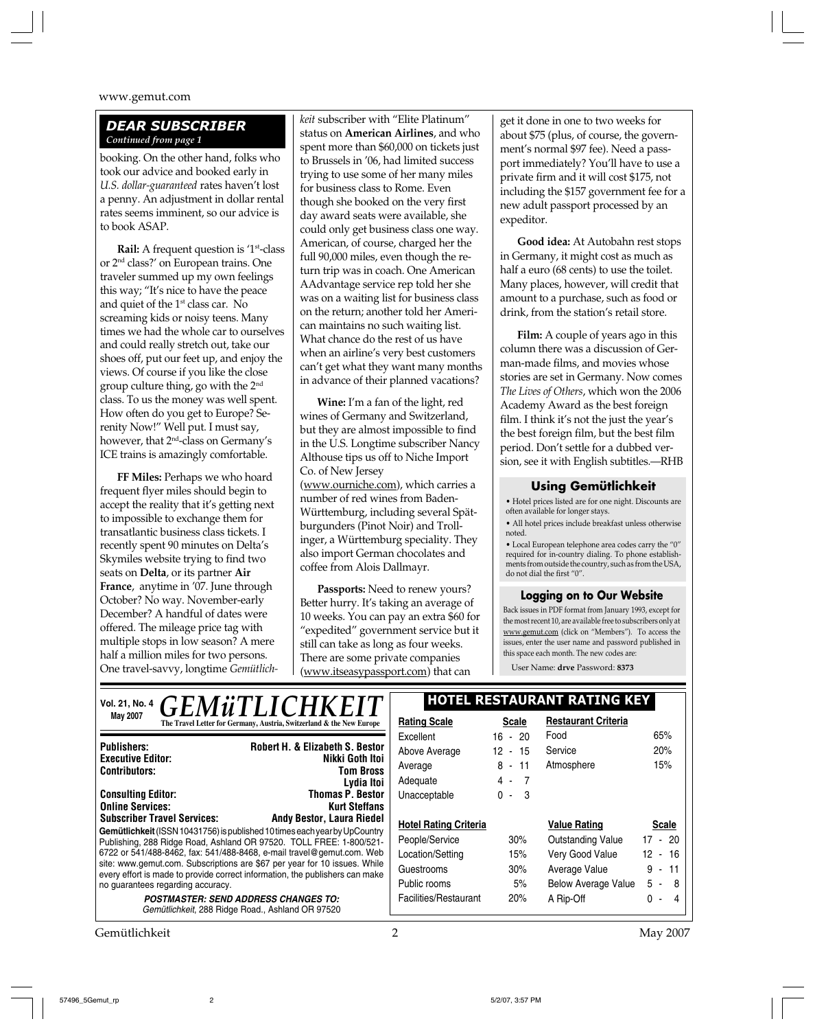#### *DEAR SUBSCRIBER Continued from page 1*

booking. On the other hand, folks who took our advice and booked early in *U.S. dollar-guaranteed* rates haven't lost a penny. An adjustment in dollar rental rates seems imminent, so our advice is to book ASAP.

**Rail:** A frequent question is '1<sup>st</sup>-class or 2nd class?' on European trains. One traveler summed up my own feelings this way; "It's nice to have the peace and quiet of the 1<sup>st</sup> class car. No screaming kids or noisy teens. Many times we had the whole car to ourselves and could really stretch out, take our shoes off, put our feet up, and enjoy the views. Of course if you like the close group culture thing, go with the 2nd class. To us the money was well spent. How often do you get to Europe? Serenity Now!" Well put. I must say, however, that 2nd-class on Germany's ICE trains is amazingly comfortable.

**FF Miles:** Perhaps we who hoard frequent flyer miles should begin to accept the reality that it's getting next to impossible to exchange them for transatlantic business class tickets. I recently spent 90 minutes on Delta's Skymiles website trying to find two seats on **Delta**, or its partner **Air France**, anytime in '07. June through October? No way. November-early December? A handful of dates were offered. The mileage price tag with multiple stops in low season? A mere half a million miles for two persons. One travel-savvy, longtime *Gemütlich-*

*keit* subscriber with "Elite Platinum" status on **American Airlines**, and who spent more than \$60,000 on tickets just to Brussels in '06, had limited success trying to use some of her many miles for business class to Rome. Even though she booked on the very first day award seats were available, she could only get business class one way. American, of course, charged her the full 90,000 miles, even though the return trip was in coach. One American AAdvantage service rep told her she was on a waiting list for business class on the return; another told her American maintains no such waiting list. What chance do the rest of us have when an airline's very best customers can't get what they want many months in advance of their planned vacations?

**Wine:** I'm a fan of the light, red wines of Germany and Switzerland, but they are almost impossible to find in the U.S. Longtime subscriber Nancy Althouse tips us off to Niche Import Co. of New Jersey

(www.ourniche.com), which carries a number of red wines from Baden-Württemburg, including several Spätburgunders (Pinot Noir) and Trollinger, a Württemburg speciality. They also import German chocolates and coffee from Alois Dallmayr.

**Passports:** Need to renew yours? Better hurry. It's taking an average of 10 weeks. You can pay an extra \$60 for "expedited" government service but it still can take as long as four weeks. There are some private companies (www.itseasypassport.com) that can

get it done in one to two weeks for about \$75 (plus, of course, the government's normal \$97 fee). Need a passport immediately? You'll have to use a private firm and it will cost \$175, not including the \$157 government fee for a new adult passport processed by an expeditor.

**Good idea:** At Autobahn rest stops in Germany, it might cost as much as half a euro (68 cents) to use the toilet. Many places, however, will credit that amount to a purchase, such as food or drink, from the station's retail store.

**Film:** A couple of years ago in this column there was a discussion of German-made films, and movies whose stories are set in Germany. Now comes *The Lives of Others*, which won the 2006 Academy Award as the best foreign film. I think it's not the just the year's the best foreign film, but the best film period. Don't settle for a dubbed version, see it with English subtitles.—RHB

#### **Using Gemütlichkeit**

• Hotel prices listed are for one night. Discounts are often available for longer stays.

• All hotel prices include breakfast unless otherwise noted.

 $\bullet$  Local European telephone area codes carry the "0" required for in-country dialing. To phone establishments from outside the country, such as from the USA, do not dial the first "0".

#### **Logging on to Our Website**

Back issues in PDF format from January 1993, except for the most recent 10, are available free to subscribers only at www.gemut.com (click on "Members"). To access the issues, enter the user name and password published in this space each month. The new codes are:

User Name: **drve** Password: **8373**

| $\sum_{\text{N}^{\text{N}}$ on $21, \text{N}$ o. 4 $\text{GEMWTLLICHKEIT}$                                                                                                                                                                                                                                                                                                                                                                                                                             |                                                                      | <b>HOTEL RESTAURANT RATING KEY</b> |                       |                            |                   |
|--------------------------------------------------------------------------------------------------------------------------------------------------------------------------------------------------------------------------------------------------------------------------------------------------------------------------------------------------------------------------------------------------------------------------------------------------------------------------------------------------------|----------------------------------------------------------------------|------------------------------------|-----------------------|----------------------------|-------------------|
| May 2007                                                                                                                                                                                                                                                                                                                                                                                                                                                                                               | The Travel Letter for Germany, Austria, Switzerland & the New Europe | <b>Rating Scale</b>                | <b>Scale</b>          | <b>Restaurant Criteria</b> |                   |
|                                                                                                                                                                                                                                                                                                                                                                                                                                                                                                        |                                                                      | Excellent                          | $16 - 20$             | Food                       | 65%               |
| <b>Publishers:</b>                                                                                                                                                                                                                                                                                                                                                                                                                                                                                     | <b>Robert H. &amp; Elizabeth S. Bestor</b>                           | Above Average                      | $-15$<br>12           | Service                    | 20%               |
| <b>Executive Editor:</b><br><b>Contributors:</b>                                                                                                                                                                                                                                                                                                                                                                                                                                                       | Nikki Goth Itoi<br><b>Tom Bross</b>                                  | Average                            | $8 - 11$              | Atmosphere                 | 15%               |
|                                                                                                                                                                                                                                                                                                                                                                                                                                                                                                        | Lydia Itoi                                                           | Adequate                           | 4 -<br>$\overline{7}$ |                            |                   |
| <b>Consulting Editor:</b>                                                                                                                                                                                                                                                                                                                                                                                                                                                                              | <b>Thomas P. Bestor</b>                                              | Unacceptable                       | $\mathbf{0}$<br>- 3   |                            |                   |
| <b>Online Services:</b>                                                                                                                                                                                                                                                                                                                                                                                                                                                                                | <b>Kurt Steffans</b>                                                 |                                    |                       |                            |                   |
| <b>Subscriber Travel Services:</b><br><b>Andy Bestor, Laura Riedel</b><br>Gemütlichkeit (ISSN 10431756) is published 10 times each year by UpCountry<br>Publishing, 288 Ridge Road, Ashland OR 97520. TOLL FREE: 1-800/521-<br>6722 or 541/488-8462, fax: 541/488-8468, e-mail travel@gemut.com. Web<br>site: www.gemut.com. Subscriptions are \$67 per year for 10 issues. While<br>every effort is made to provide correct information, the publishers can make<br>no guarantees regarding accuracy. |                                                                      | <b>Hotel Rating Criteria</b>       |                       | <b>Value Rating</b>        | <b>Scale</b>      |
|                                                                                                                                                                                                                                                                                                                                                                                                                                                                                                        |                                                                      | People/Service                     | 30%                   | Outstanding Value          | 17 - 20           |
|                                                                                                                                                                                                                                                                                                                                                                                                                                                                                                        |                                                                      | Location/Setting                   | 15%                   | Very Good Value            | - 16<br>12        |
|                                                                                                                                                                                                                                                                                                                                                                                                                                                                                                        |                                                                      | Guestrooms                         | 30%                   | Average Value              | 11<br>9<br>$\sim$ |
|                                                                                                                                                                                                                                                                                                                                                                                                                                                                                                        |                                                                      | Public rooms                       | 5%                    | <b>Below Average Value</b> | $5 - 8$           |
| <b>POSTMASTER: SEND ADDRESS CHANGES TO:</b><br>Gemütlichkeit, 288 Ridge Road., Ashland OR 97520                                                                                                                                                                                                                                                                                                                                                                                                        |                                                                      | Facilities/Restaurant              | 20%                   | A Rip-Off                  | 0<br>4            |
|                                                                                                                                                                                                                                                                                                                                                                                                                                                                                                        |                                                                      |                                    |                       |                            |                   |

Gemütlichkeit 2 May 2007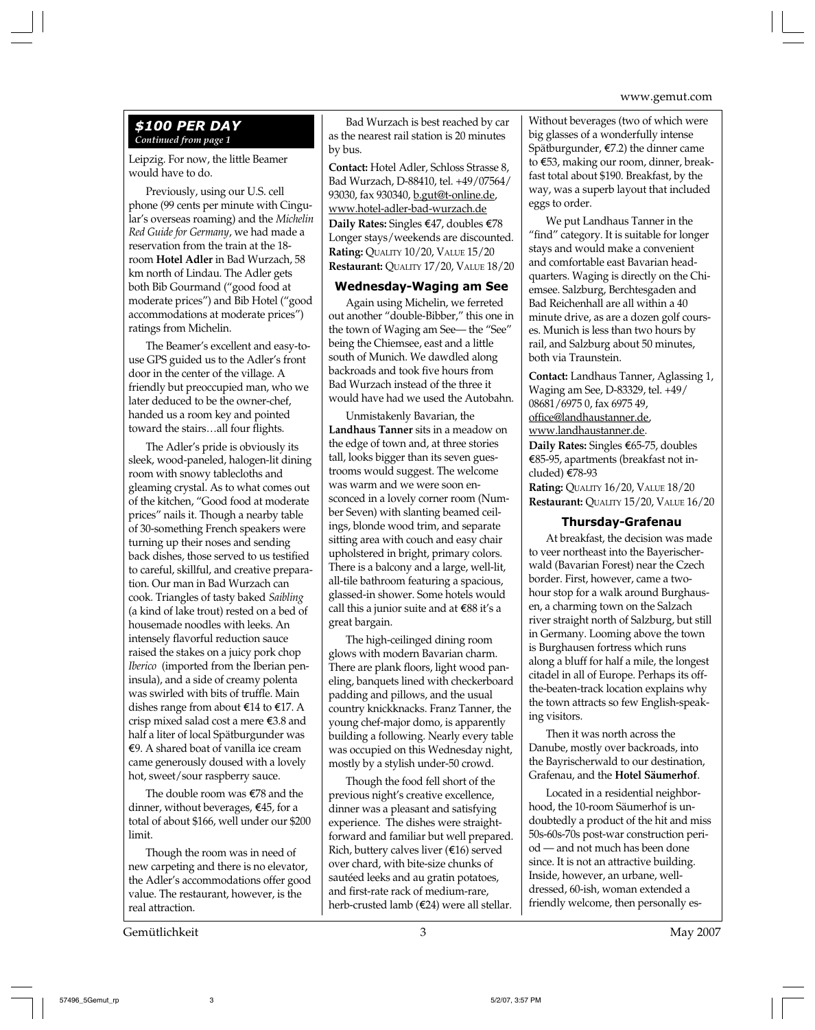#### *\$100 PER DAY Continued from page 1*

Leipzig. For now, the little Beamer would have to do.

Previously, using our U.S. cell phone (99 cents per minute with Cingular's overseas roaming) and the *Michelin Red Guide for Germany*, we had made a reservation from the train at the 18 room **Hotel Adler** in Bad Wurzach, 58 km north of Lindau. The Adler gets both Bib Gourmand ("good food at moderate prices") and Bib Hotel ("good accommodations at moderate prices") ratings from Michelin.

The Beamer's excellent and easy-touse GPS guided us to the Adler's front door in the center of the village. A friendly but preoccupied man, who we later deduced to be the owner-chef, handed us a room key and pointed toward the stairs…all four flights.

The Adler's pride is obviously its sleek, wood-paneled, halogen-lit dining room with snowy tablecloths and gleaming crystal. As to what comes out of the kitchen, "Good food at moderate prices" nails it. Though a nearby table of 30-something French speakers were turning up their noses and sending back dishes, those served to us testified to careful, skillful, and creative preparation. Our man in Bad Wurzach can cook. Triangles of tasty baked *Saibling* (a kind of lake trout) rested on a bed of housemade noodles with leeks. An intensely flavorful reduction sauce raised the stakes on a juicy pork chop *Iberico* (imported from the Iberian peninsula), and a side of creamy polenta was swirled with bits of truffle. Main dishes range from about  $\epsilon$ 14 to  $\epsilon$ 17. A crisp mixed salad cost a mere E3.8 and half a liter of local Spätburgunder was  $\epsilon$ 9. A shared boat of vanilla ice cream came generously doused with a lovely hot, sweet/sour raspberry sauce.

The double room was  $\epsilon$ 78 and the dinner, without beverages, E45, for a total of about \$166, well under our \$200 limit.

Though the room was in need of new carpeting and there is no elevator, the Adler's accommodations offer good value. The restaurant, however, is the real attraction.

Bad Wurzach is best reached by car as the nearest rail station is 20 minutes by bus.

**Contact:** Hotel Adler, Schloss Strasse 8, Bad Wurzach, D-88410, tel. +49/07564/ 93030, fax 930340, <u>b.gut@t-online.de</u>, www.hotel-adler-bad-wurzach.de Daily Rates: Singles €47, doubles €78 Longer stays/weekends are discounted. **Rating:** QUALITY 10/20, VALUE 15/20 **Restaurant:** QUALITY 17/20, VALUE 18/20

#### **Wednesday-Waging am See**

Again using Michelin, we ferreted out another "double-Bibber," this one in the town of Waging am See— the "See" being the Chiemsee, east and a little south of Munich. We dawdled along backroads and took five hours from Bad Wurzach instead of the three it would have had we used the Autobahn.

Unmistakenly Bavarian, the **Landhaus Tanner** sits in a meadow on the edge of town and, at three stories tall, looks bigger than its seven guestrooms would suggest. The welcome was warm and we were soon ensconced in a lovely corner room (Number Seven) with slanting beamed ceilings, blonde wood trim, and separate sitting area with couch and easy chair upholstered in bright, primary colors. There is a balcony and a large, well-lit, all-tile bathroom featuring a spacious, glassed-in shower. Some hotels would call this a junior suite and at E88 it's a great bargain.

The high-ceilinged dining room glows with modern Bavarian charm. There are plank floors, light wood paneling, banquets lined with checkerboard padding and pillows, and the usual country knickknacks. Franz Tanner, the young chef-major domo, is apparently building a following. Nearly every table was occupied on this Wednesday night, mostly by a stylish under-50 crowd.

Though the food fell short of the previous night's creative excellence, dinner was a pleasant and satisfying experience. The dishes were straightforward and familiar but well prepared. Rich, buttery calves liver  $(€16)$  served over chard, with bite-size chunks of sautéed leeks and au gratin potatoes, and first-rate rack of medium-rare, herb-crusted lamb (E24) were all stellar.

Without beverages (two of which were big glasses of a wonderfully intense Spätburgunder, E7.2) the dinner came to E53, making our room, dinner, breakfast total about \$190. Breakfast, by the way, was a superb layout that included eggs to order.

We put Landhaus Tanner in the "find" category. It is suitable for longer stays and would make a convenient and comfortable east Bavarian headquarters. Waging is directly on the Chiemsee. Salzburg, Berchtesgaden and Bad Reichenhall are all within a 40 minute drive, as are a dozen golf courses. Munich is less than two hours by rail, and Salzburg about 50 minutes, both via Traunstein.

**Contact:** Landhaus Tanner, Aglassing 1, Waging am See, D-83329, tel. +49/ 08681/6975 0, fax 6975 49, office@landhaustanner.de, www.landhaustanner.de. **Daily Rates:** Singles E65-75, doubles E85-95, apartments (breakfast not included) E78-93 **Rating:** QUALITY 16/20, VALUE 18/20 **Restaurant:** QUALITY 15/20, VALUE 16/20

#### **Thursday-Grafenau**

At breakfast, the decision was made to veer northeast into the Bayerischerwald (Bavarian Forest) near the Czech border. First, however, came a twohour stop for a walk around Burghausen, a charming town on the Salzach river straight north of Salzburg, but still in Germany. Looming above the town is Burghausen fortress which runs along a bluff for half a mile, the longest citadel in all of Europe. Perhaps its offthe-beaten-track location explains why the town attracts so few English-speaking visitors.

Then it was north across the Danube, mostly over backroads, into the Bayrischerwald to our destination, Grafenau, and the **Hotel Säumerhof**.

Located in a residential neighborhood, the 10-room Säumerhof is undoubtedly a product of the hit and miss 50s-60s-70s post-war construction period — and not much has been done since. It is not an attractive building. Inside, however, an urbane, welldressed, 60-ish, woman extended a friendly welcome, then personally es-

Gemütlichkeit 3 May 2007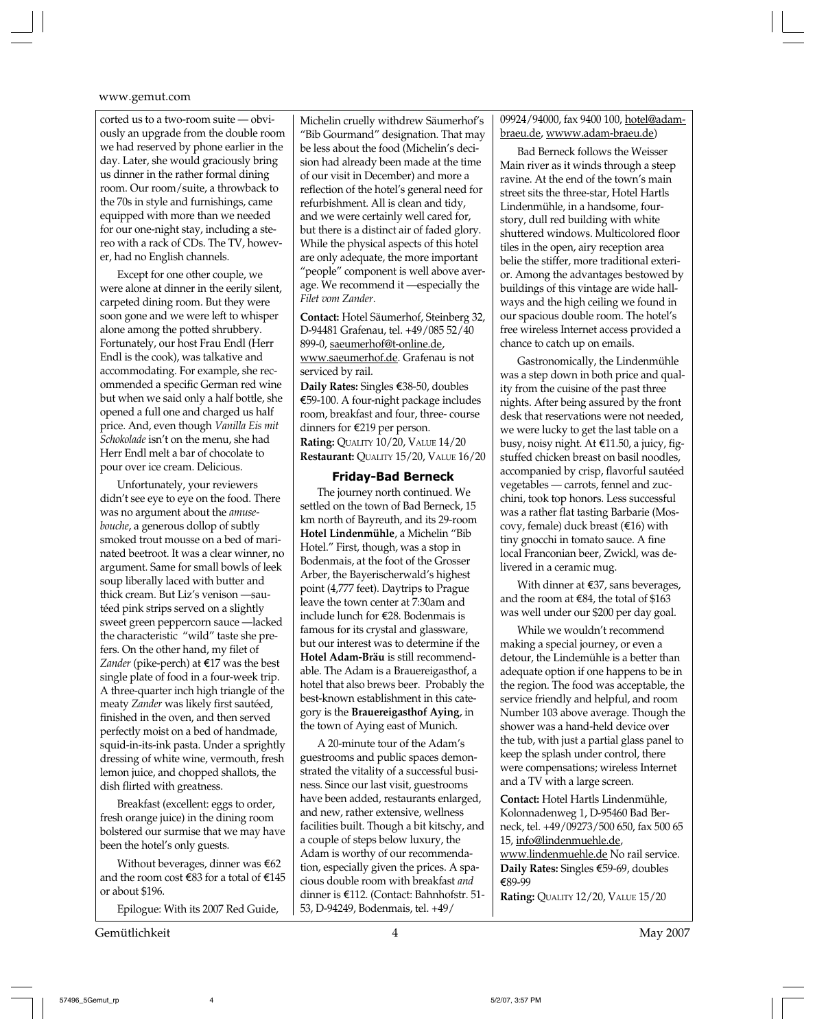corted us to a two-room suite — obviously an upgrade from the double room we had reserved by phone earlier in the day. Later, she would graciously bring us dinner in the rather formal dining room. Our room/suite, a throwback to the 70s in style and furnishings, came equipped with more than we needed for our one-night stay, including a stereo with a rack of CDs. The TV, however, had no English channels.

Except for one other couple, we were alone at dinner in the eerily silent, carpeted dining room. But they were soon gone and we were left to whisper alone among the potted shrubbery. Fortunately, our host Frau Endl (Herr Endl is the cook), was talkative and accommodating. For example, she recommended a specific German red wine but when we said only a half bottle, she opened a full one and charged us half price. And, even though *Vanilla Eis mit Schokolade* isn't on the menu, she had Herr Endl melt a bar of chocolate to pour over ice cream. Delicious.

Unfortunately, your reviewers didn't see eye to eye on the food. There was no argument about the *amusebouche*, a generous dollop of subtly smoked trout mousse on a bed of marinated beetroot. It was a clear winner, no argument. Same for small bowls of leek soup liberally laced with butter and thick cream. But Liz's venison —sautéed pink strips served on a slightly sweet green peppercorn sauce —lacked the characteristic "wild" taste she prefers. On the other hand, my filet of *Zander* (pike-perch) at €17 was the best single plate of food in a four-week trip. A three-quarter inch high triangle of the meaty *Zander* was likely first sautéed, finished in the oven, and then served perfectly moist on a bed of handmade, squid-in-its-ink pasta. Under a sprightly dressing of white wine, vermouth, fresh lemon juice, and chopped shallots, the dish flirted with greatness.

Breakfast (excellent: eggs to order, fresh orange juice) in the dining room bolstered our surmise that we may have been the hotel's only guests.

Without beverages, dinner was  $\epsilon$ 62 and the room cost  $\text{\textsterling}83$  for a total of  $\text{\textsterling}145$ or about \$196.

Epilogue: With its 2007 Red Guide,

Gemütlichkeit 4 May 2007

Michelin cruelly withdrew Säumerhof's "Bib Gourmand" designation. That may be less about the food (Michelin's decision had already been made at the time of our visit in December) and more a reflection of the hotel's general need for refurbishment. All is clean and tidy, and we were certainly well cared for, but there is a distinct air of faded glory. While the physical aspects of this hotel are only adequate, the more important "people" component is well above average. We recommend it —especially the *Filet vom Zander*.

**Contact:** Hotel Säumerhof, Steinberg 32, D-94481 Grafenau, tel. +49/085 52/40 899-0, saeumerhof@t-online.de, www.saeumerhof.de. Grafenau is not serviced by rail. **Daily Rates:** Singles E38-50, doubles E59-100. A four-night package includes room, breakfast and four, three- course dinners for E219 per person. **Rating:** QUALITY 10/20, VALUE 14/20 **Restaurant:** QUALITY 15/20, VALUE 16/20

#### **Friday-Bad Berneck**

The journey north continued. We settled on the town of Bad Berneck, 15 km north of Bayreuth, and its 29-room **Hotel Lindenmühle**, a Michelin "Bib Hotel." First, though, was a stop in Bodenmais, at the foot of the Grosser Arber, the Bayerischerwald's highest point (4,777 feet). Daytrips to Prague leave the town center at 7:30am and include lunch for E28. Bodenmais is famous for its crystal and glassware, but our interest was to determine if the **Hotel Adam-Bräu** is still recommendable. The Adam is a Brauereigasthof, a hotel that also brews beer. Probably the best-known establishment in this category is the **Brauereigasthof Aying**, in the town of Aying east of Munich.

A 20-minute tour of the Adam's guestrooms and public spaces demonstrated the vitality of a successful business. Since our last visit, guestrooms have been added, restaurants enlarged, and new, rather extensive, wellness facilities built. Though a bit kitschy, and a couple of steps below luxury, the Adam is worthy of our recommendation, especially given the prices. A spacious double room with breakfast *and* dinner is E112. (Contact: Bahnhofstr. 51- 53, D-94249, Bodenmais, tel. +49/

09924/94000, fax 9400 100, hotel@adambraeu.de, wwww.adam-braeu.de)

Bad Berneck follows the Weisser Main river as it winds through a steep ravine. At the end of the town's main street sits the three-star, Hotel Hartls Lindenmühle, in a handsome, fourstory, dull red building with white shuttered windows. Multicolored floor tiles in the open, airy reception area belie the stiffer, more traditional exterior. Among the advantages bestowed by buildings of this vintage are wide hallways and the high ceiling we found in our spacious double room. The hotel's free wireless Internet access provided a chance to catch up on emails.

Gastronomically, the Lindenmühle was a step down in both price and quality from the cuisine of the past three nights. After being assured by the front desk that reservations were not needed, we were lucky to get the last table on a busy, noisy night. At E11.50, a juicy, figstuffed chicken breast on basil noodles, accompanied by crisp, flavorful sautéed vegetables — carrots, fennel and zucchini, took top honors. Less successful was a rather flat tasting Barbarie (Moscovy, female) duck breast  $(€16)$  with tiny gnocchi in tomato sauce. A fine local Franconian beer, Zwickl, was delivered in a ceramic mug.

With dinner at E37, sans beverages, and the room at  $\epsilon$ 84, the total of \$163 was well under our \$200 per day goal.

While we wouldn't recommend making a special journey, or even a detour, the Lindemühle is a better than adequate option if one happens to be in the region. The food was acceptable, the service friendly and helpful, and room Number 103 above average. Though the shower was a hand-held device over the tub, with just a partial glass panel to keep the splash under control, there were compensations; wireless Internet and a TV with a large screen.

**Contact:** Hotel Hartls Lindenmühle, Kolonnadenweg 1, D-95460 Bad Berneck, tel. +49/09273/500 650, fax 500 65 15, info@lindenmuehle.de, www.lindenmuehle.de No rail service. **Daily Rates:** Singles E59-69, doubles E89-99 **Rating:** QUALITY 12/20, VALUE 15/20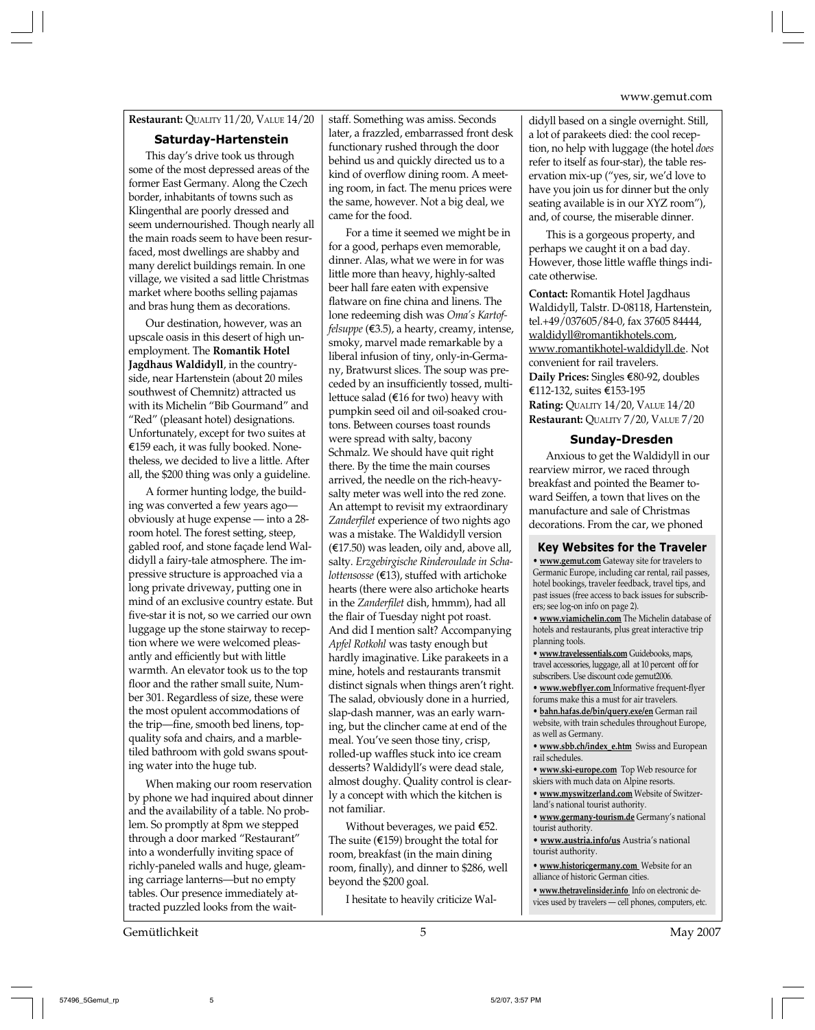#### **Restaurant:** QUALITY 11/20, VALUE 14/20

#### **Saturday-Hartenstein**

This day's drive took us through some of the most depressed areas of the former East Germany. Along the Czech border, inhabitants of towns such as Klingenthal are poorly dressed and seem undernourished. Though nearly all the main roads seem to have been resurfaced, most dwellings are shabby and many derelict buildings remain. In one village, we visited a sad little Christmas market where booths selling pajamas and bras hung them as decorations.

Our destination, however, was an upscale oasis in this desert of high unemployment. The **Romantik Hotel Jagdhaus Waldidyll**, in the countryside, near Hartenstein (about 20 miles southwest of Chemnitz) attracted us with its Michelin "Bib Gourmand" and "Red" (pleasant hotel) designations. Unfortunately, except for two suites at E159 each, it was fully booked. Nonetheless, we decided to live a little. After all, the \$200 thing was only a guideline.

A former hunting lodge, the building was converted a few years ago obviously at huge expense — into a 28 room hotel. The forest setting, steep, gabled roof, and stone façade lend Waldidyll a fairy-tale atmosphere. The impressive structure is approached via a long private driveway, putting one in mind of an exclusive country estate. But five-star it is not, so we carried our own luggage up the stone stairway to reception where we were welcomed pleasantly and efficiently but with little warmth. An elevator took us to the top floor and the rather small suite, Number 301. Regardless of size, these were the most opulent accommodations of the trip—fine, smooth bed linens, topquality sofa and chairs, and a marbletiled bathroom with gold swans spouting water into the huge tub.

When making our room reservation by phone we had inquired about dinner and the availability of a table. No problem. So promptly at 8pm we stepped through a door marked "Restaurant" into a wonderfully inviting space of richly-paneled walls and huge, gleaming carriage lanterns—but no empty tables. Our presence immediately attracted puzzled looks from the waitstaff. Something was amiss. Seconds later, a frazzled, embarrassed front desk functionary rushed through the door behind us and quickly directed us to a kind of overflow dining room. A meeting room, in fact. The menu prices were the same, however. Not a big deal, we came for the food.

For a time it seemed we might be in for a good, perhaps even memorable, dinner. Alas, what we were in for was little more than heavy, highly-salted beer hall fare eaten with expensive flatware on fine china and linens. The lone redeeming dish was *Oma's Kartoffelsuppe* (E3.5), a hearty, creamy, intense, smoky, marvel made remarkable by a liberal infusion of tiny, only-in-Germany, Bratwurst slices. The soup was preceded by an insufficiently tossed, multilettuce salad ( $E16$  for two) heavy with pumpkin seed oil and oil-soaked croutons. Between courses toast rounds were spread with salty, bacony Schmalz. We should have quit right there. By the time the main courses arrived, the needle on the rich-heavysalty meter was well into the red zone. An attempt to revisit my extraordinary *Zanderfilet* experience of two nights ago was a mistake. The Waldidyll version (E17.50) was leaden, oily and, above all, salty. *Erzgebirgische Rinderoulade in Schalottensosse* (E13), stuffed with artichoke hearts (there were also artichoke hearts in the *Zanderfilet* dish, hmmm), had all the flair of Tuesday night pot roast. And did I mention salt? Accompanying *Apfel Rotkohl* was tasty enough but hardly imaginative. Like parakeets in a mine, hotels and restaurants transmit distinct signals when things aren't right. The salad, obviously done in a hurried, slap-dash manner, was an early warning, but the clincher came at end of the meal. You've seen those tiny, crisp, rolled-up waffles stuck into ice cream desserts? Waldidyll's were dead stale, almost doughy. Quality control is clearly a concept with which the kitchen is not familiar.

Without beverages, we paid  $E$ 52. The suite ( $\epsilon$ 159) brought the total for room, breakfast (in the main dining room, finally), and dinner to \$286, well beyond the \$200 goal.

I hesitate to heavily criticize Wal-

didyll based on a single overnight. Still, a lot of parakeets died: the cool reception, no help with luggage (the hotel *does* refer to itself as four-star), the table reservation mix-up ("yes, sir, we'd love to have you join us for dinner but the only seating available is in our XYZ room"), and, of course, the miserable dinner.

This is a gorgeous property, and perhaps we caught it on a bad day. However, those little waffle things indicate otherwise.

**Contact:** Romantik Hotel Jagdhaus Waldidyll, Talstr. D-08118, Hartenstein, tel.+49/037605/84-0, fax 37605 84444, waldidyll@romantikhotels.com, www.romantikhotel-waldidyll.de. Not convenient for rail travelers.

**Daily Prices:** Singles €80-92, doubles E112-132, suites E153-195 **Rating:** QUALITY 14/20, VALUE 14/20 **Restaurant:** QUALITY 7/20, VALUE 7/20

#### **Sunday-Dresden**

Anxious to get the Waldidyll in our rearview mirror, we raced through breakfast and pointed the Beamer toward Seiffen, a town that lives on the manufacture and sale of Christmas decorations. From the car, we phoned

**Key Websites for the Traveler**

**• www.gemut.com** Gateway site for travelers to Germanic Europe, including car rental, rail passes, hotel bookings, traveler feedback, travel tips, and past issues (free access to back issues for subscribers; see log-on info on page 2).

**• www.viamichelin.com** The Michelin database of hotels and restaurants, plus great interactive trip planning tools.

**• www.travelessentials.com** Guidebooks, maps, travel accessories, luggage, all at 10 percent off for subscribers. Use discount code gemut2006. **• www.webflyer.com** Informative frequent-flyer

forums make this a must for air travelers. **• bahn.hafas.de/bin/query.exe/en** German rail

website, with train schedules throughout Europe, as well as Germany.

**• www.sbb.ch/index\_e.htm** Swiss and European rail schedules.

**• www.ski-europe.com** Top Web resource for skiers with much data on Alpine resorts.

**• www.myswitzerland.com** Website of Switzerland's national tourist authority.

**• www.germany-tourism.de** Germany's national tourist authority.

**• www.austria.info/us** Austria's national tourist authority.

**• www.historicgermany.com** Website for an alliance of historic German cities.

**• www.thetravelinsider.info** Info on electronic devices used by travelers — cell phones, computers, etc.

Gemütlichkeit 5 May 2007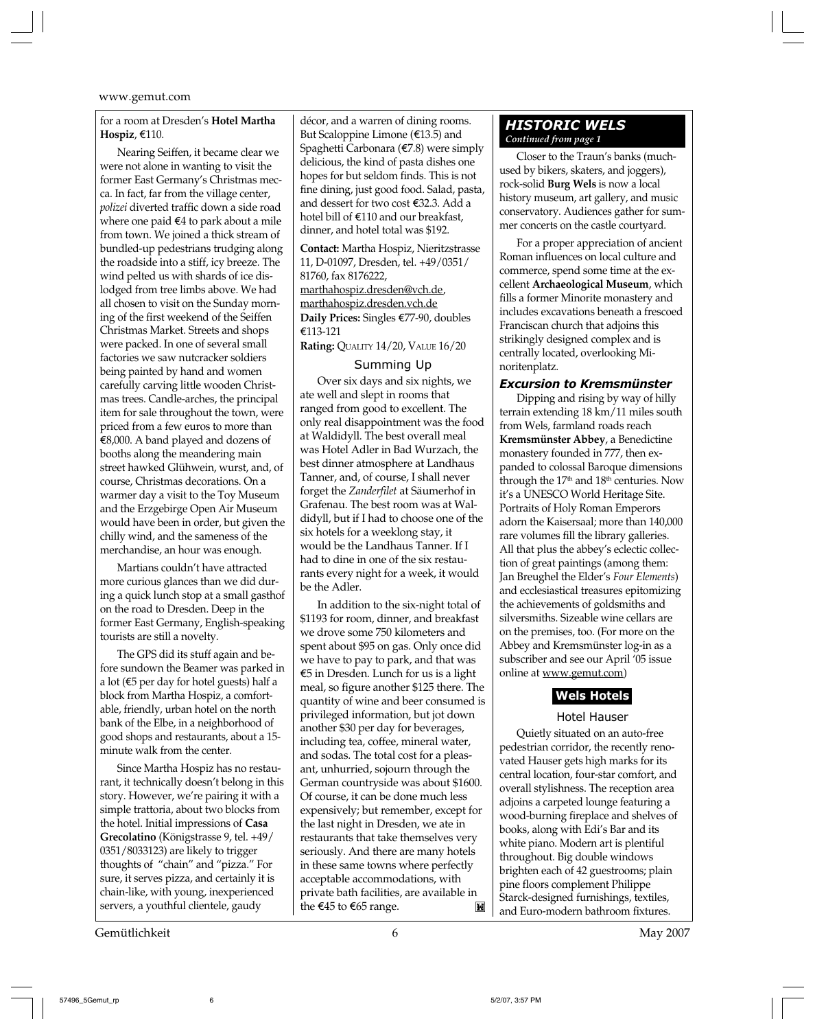#### for a room at Dresden's **Hotel Martha Hospiz**, E110.

Nearing Seiffen, it became clear we were not alone in wanting to visit the former East Germany's Christmas mecca. In fact, far from the village center, *polizei* diverted traffic down a side road where one paid  $€4$  to park about a mile from town. We joined a thick stream of bundled-up pedestrians trudging along the roadside into a stiff, icy breeze*.* The wind pelted us with shards of ice dislodged from tree limbs above. We had all chosen to visit on the Sunday morning of the first weekend of the Seiffen Christmas Market. Streets and shops were packed. In one of several small factories we saw nutcracker soldiers being painted by hand and women carefully carving little wooden Christmas trees. Candle-arches, the principal item for sale throughout the town, were priced from a few euros to more than E8,000. A band played and dozens of booths along the meandering main street hawked Glühwein, wurst, and, of course, Christmas decorations. On a warmer day a visit to the Toy Museum and the Erzgebirge Open Air Museum would have been in order, but given the chilly wind, and the sameness of the merchandise, an hour was enough.

Martians couldn't have attracted more curious glances than we did during a quick lunch stop at a small gasthof on the road to Dresden. Deep in the former East Germany, English-speaking tourists are still a novelty.

The GPS did its stuff again and before sundown the Beamer was parked in a lot ( $\epsilon$ 5 per day for hotel guests) half a block from Martha Hospiz, a comfortable, friendly, urban hotel on the north bank of the Elbe, in a neighborhood of good shops and restaurants, about a 15 minute walk from the center.

Since Martha Hospiz has no restaurant, it technically doesn't belong in this story. However, we're pairing it with a simple trattoria, about two blocks from the hotel. Initial impressions of **Casa Grecolatino** (Königstrasse 9, tel. +49/ 0351/8033123) are likely to trigger thoughts of "chain" and "pizza." For sure, it serves pizza, and certainly it is chain-like, with young, inexperienced servers, a youthful clientele, gaudy

Gemütlichkeit 6 May 2007

décor, and a warren of dining rooms. But Scaloppine Limone (E13.5) and Spaghetti Carbonara (E7.8) were simply delicious, the kind of pasta dishes one hopes for but seldom finds. This is not fine dining, just good food. Salad, pasta, and dessert for two cost E32.3. Add a hotel bill of E110 and our breakfast, dinner, and hotel total was \$192.

**Contact:** Martha Hospiz, Nieritzstrasse 11, D-01097, Dresden, tel. +49/0351/ 81760, fax 8176222, marthahospiz.dresden@vch.de,

# marthahospiz.dresden.vch.de

**Daily Prices:** Singles E77-90, doubles E113-121

**Rating:** QUALITY 14/20, VALUE 16/20

#### Summing Up

Over six days and six nights, we ate well and slept in rooms that ranged from good to excellent. The only real disappointment was the food at Waldidyll. The best overall meal was Hotel Adler in Bad Wurzach, the best dinner atmosphere at Landhaus Tanner, and, of course, I shall never forget the *Zanderfilet* at Säumerhof in Grafenau. The best room was at Waldidyll, but if I had to choose one of the six hotels for a weeklong stay, it would be the Landhaus Tanner. If I had to dine in one of the six restaurants every night for a week, it would be the Adler.

In addition to the six-night total of \$1193 for room, dinner, and breakfast we drove some 750 kilometers and spent about \$95 on gas. Only once did we have to pay to park, and that was E5 in Dresden. Lunch for us is a light meal, so figure another \$125 there. The quantity of wine and beer consumed is privileged information, but jot down another \$30 per day for beverages, including tea, coffee, mineral water, and sodas. The total cost for a pleasant, unhurried, sojourn through the German countryside was about \$1600. Of course, it can be done much less expensively; but remember, except for the last night in Dresden, we ate in restaurants that take themselves very seriously. And there are many hotels in these same towns where perfectly acceptable accommodations, with private bath facilities, are available in the €45 to €65 range. M

#### *HISTORIC WELS Continued from page 1*

Closer to the Traun's banks (muchused by bikers, skaters, and joggers), rock-solid **Burg Wels** is now a local history museum, art gallery, and music conservatory. Audiences gather for summer concerts on the castle courtyard.

For a proper appreciation of ancient Roman influences on local culture and commerce, spend some time at the excellent **Archaeological Museum**, which fills a former Minorite monastery and includes excavations beneath a frescoed Franciscan church that adjoins this strikingly designed complex and is centrally located, overlooking Minoritenplatz.

#### *Excursion to Kremsmünster*

Dipping and rising by way of hilly terrain extending 18 km/11 miles south from Wels, farmland roads reach **Kremsmünster Abbey**, a Benedictine monastery founded in 777, then expanded to colossal Baroque dimensions through the  $17<sup>th</sup>$  and  $18<sup>th</sup>$  centuries. Now it's a UNESCO World Heritage Site. Portraits of Holy Roman Emperors adorn the Kaisersaal; more than 140,000 rare volumes fill the library galleries. All that plus the abbey's eclectic collection of great paintings (among them: Jan Breughel the Elder's *Four Elements*) and ecclesiastical treasures epitomizing the achievements of goldsmiths and silversmiths. Sizeable wine cellars are on the premises, too. (For more on the Abbey and Kremsmünster log-in as a subscriber and see our April '05 issue online at www.gemut.com)

#### **Wels Hotels**

#### Hotel Hauser

Quietly situated on an auto-free pedestrian corridor, the recently renovated Hauser gets high marks for its central location, four-star comfort, and overall stylishness. The reception area adjoins a carpeted lounge featuring a wood-burning fireplace and shelves of books, along with Edi's Bar and its white piano. Modern art is plentiful throughout. Big double windows brighten each of 42 guestrooms; plain pine floors complement Philippe Starck-designed furnishings, textiles, and Euro-modern bathroom fixtures.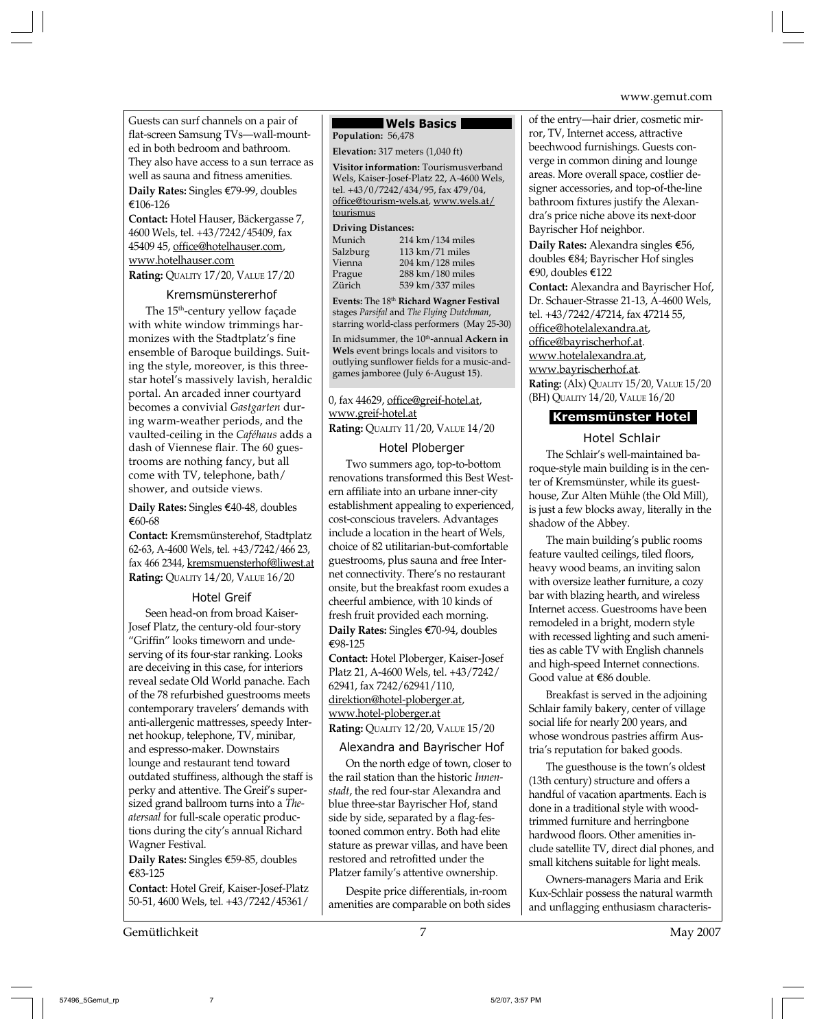Guests can surf channels on a pair of flat-screen Samsung TVs—wall-mounted in both bedroom and bathroom. They also have access to a sun terrace as well as sauna and fitness amenities. **Daily Rates:** Singles €79-99, doubles ¤106-126

**Contact:** Hotel Hauser, Bäckergasse 7, 4600 Wels, tel. +43/7242/45409, fax 45409 45, office@hotelhauser.com, www.hotelhauser.com **Rating:** QUALITY 17/20, VALUE 17/20

## Kremsmünstererhof

The 15th-century yellow façade with white window trimmings harmonizes with the Stadtplatz's fine ensemble of Baroque buildings. Suiting the style, moreover, is this threestar hotel's massively lavish, heraldic portal. An arcaded inner courtyard becomes a convivial *Gastgarten* during warm-weather periods, and the vaulted-ceiling in the *Caféhaus* adds a dash of Viennese flair. The 60 guestrooms are nothing fancy, but all come with TV, telephone, bath/ shower, and outside views.

Daily Rates: Singles €40-48, doubles ¤60-68

**Contact:** Kremsmünsterehof, Stadtplatz 62-63, A-4600 Wels, tel. +43/7242/466 23, fax 466 2344, kremsmuensterhof@liwest.at **Rating:** QUALITY 14/20, VALUE 16/20

#### Hotel Greif

Seen head-on from broad Kaiser-Josef Platz, the century-old four-story "Griffin" looks timeworn and undeserving of its four-star ranking. Looks are deceiving in this case, for interiors reveal sedate Old World panache. Each of the 78 refurbished guestrooms meets contemporary travelers' demands with anti-allergenic mattresses, speedy Internet hookup, telephone, TV, minibar, and espresso-maker. Downstairs lounge and restaurant tend toward outdated stuffiness, although the staff is perky and attentive. The Greif's supersized grand ballroom turns into a *Theatersaal* for full-scale operatic productions during the city's annual Richard Wagner Festival.

Daily Rates: Singles €59-85, doubles ¤83-125

**Contact**: Hotel Greif, Kaiser-Josef-Platz 50-51, 4600 Wels, tel. +43/7242/45361/

Gemütlichkeit 7 May 2007

#### **Wels Basics**

**Population:** 56,478

**Elevation:** 317 meters (1,040 ft)

**Visitor information:** Tourismusverband Wels, Kaiser-Josef-Platz 22, A-4600 Wels, tel. +43/0/7242/434/95, fax 479/04, office@tourism-wels.at, www.wels.at/ tourismus

#### **Driving Distances:**

| 214 km/134 miles                     |
|--------------------------------------|
| $113 \text{ km}/71 \text{ miles}$    |
| $204 \text{ km} / 128 \text{ miles}$ |
| $288 \text{ km} / 180 \text{ miles}$ |
| 539 km/337 miles                     |
|                                      |

**Events:** The 18th **Richard Wagner Festival** stages *Parsifal* and *The Flying Dutchman*, starring world-class performers (May 25-30) In midsummer, the 10<sup>th</sup>-annual Ackern in **Wels** event brings locals and visitors to outlying sunflower fields for a music-andgames jamboree (July 6-August 15).

0, fax 44629, office@greif-hotel.at, www.greif-hotel.at

**Rating:** QUALITY 11/20, VALUE 14/20

#### Hotel Ploberger

Two summers ago, top-to-bottom renovations transformed this Best Western affiliate into an urbane inner-city establishment appealing to experienced, cost-conscious travelers. Advantages include a location in the heart of Wels, choice of 82 utilitarian-but-comfortable guestrooms, plus sauna and free Internet connectivity. There's no restaurant onsite, but the breakfast room exudes a cheerful ambience, with 10 kinds of fresh fruit provided each morning. **Daily Rates:** Singles €70-94, doubles ¤98-125

**Contact:** Hotel Ploberger, Kaiser-Josef Platz 21, A-4600 Wels, tel. +43/7242/ 62941, fax 7242/62941/110, direktion@hotel-ploberger.at, www.hotel-ploberger.at **Rating:** QUALITY 12/20, VALUE 15/20

#### Alexandra and Bayrischer Hof

On the north edge of town, closer to the rail station than the historic *Innenstadt*, the red four-star Alexandra and blue three-star Bayrischer Hof, stand side by side, separated by a flag-festooned common entry. Both had elite stature as prewar villas, and have been restored and retrofitted under the Platzer family's attentive ownership.

Despite price differentials, in-room amenities are comparable on both sides

of the entry—hair drier, cosmetic mirror, TV, Internet access, attractive beechwood furnishings. Guests converge in common dining and lounge areas. More overall space, costlier designer accessories, and top-of-the-line bathroom fixtures justify the Alexandra's price niche above its next-door Bayrischer Hof neighbor.

**Daily Rates:** Alexandra singles €56, doubles ¤84; Bayrischer Hof singles €90, doubles  $€122$ 

**Contact:** Alexandra and Bayrischer Hof, Dr. Schauer-Strasse 21-13, A-4600 Wels, tel. +43/7242/47214, fax 47214 55, office@hotelalexandra.at, office@bayrischerhof.at. www.hotelalexandra.at, www.bayrischerhof.at. **Rating:** (Alx) QUALITY 15/20, VALUE 15/20 (BH) QUALITY 14/20, VALUE 16/20

# **Kremsmünster Hotel**

#### Hotel Schlair

The Schlair's well-maintained baroque-style main building is in the center of Kremsmünster, while its guesthouse, Zur Alten Mühle (the Old Mill), is just a few blocks away, literally in the shadow of the Abbey.

The main building's public rooms feature vaulted ceilings, tiled floors, heavy wood beams, an inviting salon with oversize leather furniture, a cozy bar with blazing hearth, and wireless Internet access. Guestrooms have been remodeled in a bright, modern style with recessed lighting and such amenities as cable TV with English channels and high-speed Internet connections. Good value at  $€86$  double.

Breakfast is served in the adjoining Schlair family bakery, center of village social life for nearly 200 years, and whose wondrous pastries affirm Austria's reputation for baked goods.

The guesthouse is the town's oldest (13th century) structure and offers a handful of vacation apartments. Each is done in a traditional style with woodtrimmed furniture and herringbone hardwood floors. Other amenities include satellite TV, direct dial phones, and small kitchens suitable for light meals.

Owners-managers Maria and Erik Kux-Schlair possess the natural warmth and unflagging enthusiasm characteris-